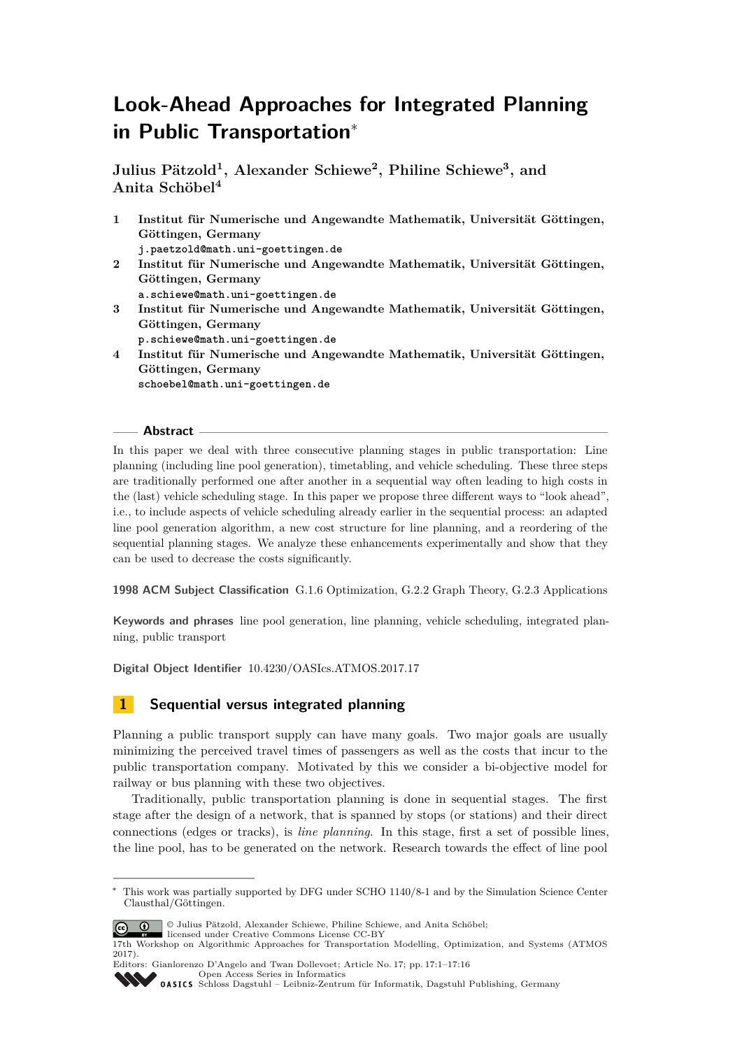# **Look-Ahead Approaches for Integrated Planning in Public Transportation**<sup>∗</sup>

**Julius Pätzold<sup>1</sup> , Alexander Schiewe<sup>2</sup> , Philine Schiewe<sup>3</sup> , and Anita Schöbel<sup>4</sup>**

- **1 Institut für Numerische und Angewandte Mathematik, Universität Göttingen, Göttingen, Germany j.paetzold@math.uni-goettingen.de 2 Institut für Numerische und Angewandte Mathematik, Universität Göttingen, Göttingen, Germany a.schiewe@math.uni-goettingen.de 3 Institut für Numerische und Angewandte Mathematik, Universität Göttingen, Göttingen, Germany p.schiewe@math.uni-goettingen.de**
- **4 Institut für Numerische und Angewandte Mathematik, Universität Göttingen, Göttingen, Germany schoebel@math.uni-goettingen.de**

#### **Abstract**

In this paper we deal with three consecutive planning stages in public transportation: Line planning (including line pool generation), timetabling, and vehicle scheduling. These three steps are traditionally performed one after another in a sequential way often leading to high costs in the (last) vehicle scheduling stage. In this paper we propose three different ways to "look ahead", i.e., to include aspects of vehicle scheduling already earlier in the sequential process: an adapted line pool generation algorithm, a new cost structure for line planning, and a reordering of the sequential planning stages. We analyze these enhancements experimentally and show that they can be used to decrease the costs significantly.

**1998 ACM Subject Classification** G.1.6 Optimization, G.2.2 Graph Theory, G.2.3 Applications

**Keywords and phrases** line pool generation, line planning, vehicle scheduling, integrated planning, public transport

**Digital Object Identifier** [10.4230/OASIcs.ATMOS.2017.17](http://dx.doi.org/10.4230/OASIcs.ATMOS.2017.17)

# **1 Sequential versus integrated planning**

Planning a public transport supply can have many goals. Two major goals are usually minimizing the perceived travel times of passengers as well as the costs that incur to the public transportation company. Motivated by this we consider a bi-objective model for railway or bus planning with these two objectives.

Traditionally, public transportation planning is done in sequential stages. The first stage after the design of a network, that is spanned by stops (or stations) and their direct connections (edges or tracks), is *line planning*. In this stage, first a set of possible lines, the line pool, has to be generated on the network. Research towards the effect of line pool

<sup>∗</sup> This work was partially supported by DFG under SCHO 1140/8-1 and by the Simulation Science Center Clausthal/Göttingen.



© Julius Pätzold, Alexander Schiewe, Philine Schiewe, and Anita Schöbel; licensed under Creative Commons License CC-BY

Editors: Gianlorenzo D'Angelo and Twan Dollevoet; Article No. 17; pp. 17:1–17[:16](#page-15-0) [Open Access Series in Informatics](http://www.dagstuhl.de/oasics/)

OASICS [Schloss Dagstuhl – Leibniz-Zentrum für Informatik, Dagstuhl Publishing, Germany](http://www.dagstuhl.de)

<sup>17</sup>th Workshop on Algorithmic Approaches for Transportation Modelling, Optimization, and Systems (ATMOS 2017).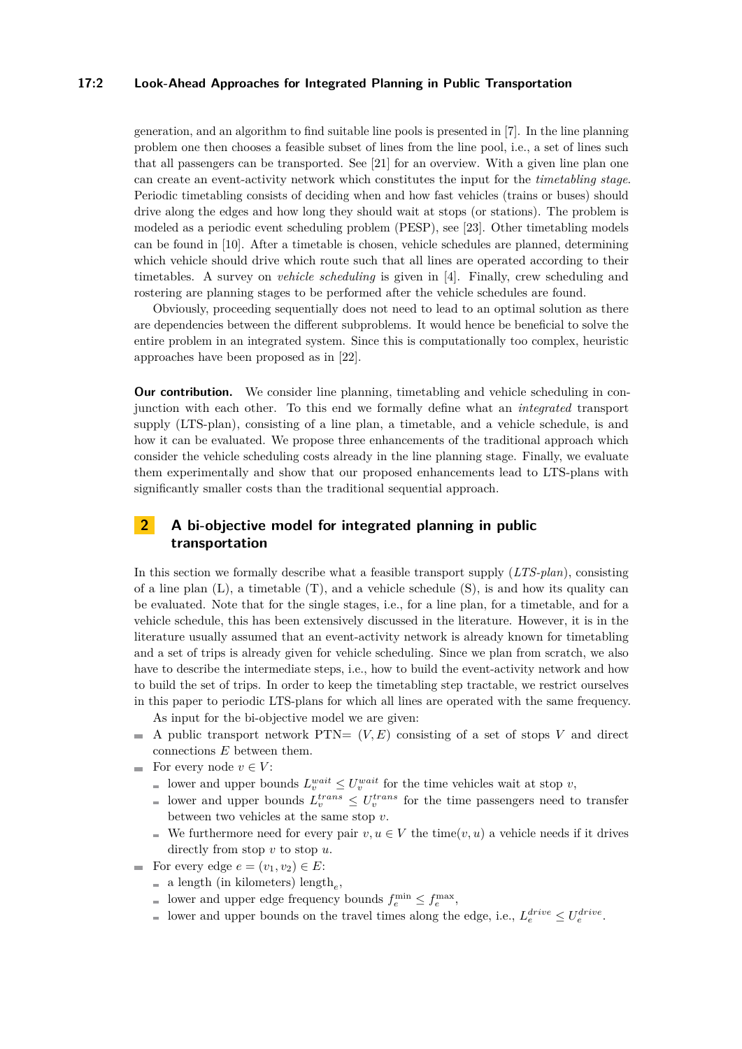#### **17:2 Look-Ahead Approaches for Integrated Planning in Public Transportation**

generation, and an algorithm to find suitable line pools is presented in [\[7\]](#page-12-0). In the line planning problem one then chooses a feasible subset of lines from the line pool, i.e., a set of lines such that all passengers can be transported. See [\[21\]](#page-13-0) for an overview. With a given line plan one can create an event-activity network which constitutes the input for the *timetabling stage*. Periodic timetabling consists of deciding when and how fast vehicles (trains or buses) should drive along the edges and how long they should wait at stops (or stations). The problem is modeled as a periodic event scheduling problem (PESP), see [\[23\]](#page-13-1). Other timetabling models can be found in [\[10\]](#page-12-1). After a timetable is chosen, vehicle schedules are planned, determining which vehicle should drive which route such that all lines are operated according to their timetables. A survey on *vehicle scheduling* is given in [\[4\]](#page-12-2). Finally, crew scheduling and rostering are planning stages to be performed after the vehicle schedules are found.

Obviously, proceeding sequentially does not need to lead to an optimal solution as there are dependencies between the different subproblems. It would hence be beneficial to solve the entire problem in an integrated system. Since this is computationally too complex, heuristic approaches have been proposed as in [\[22\]](#page-13-2).

**Our contribution.** We consider line planning, timetabling and vehicle scheduling in conjunction with each other. To this end we formally define what an *integrated* transport supply (LTS-plan), consisting of a line plan, a timetable, and a vehicle schedule, is and how it can be evaluated. We propose three enhancements of the traditional approach which consider the vehicle scheduling costs already in the line planning stage. Finally, we evaluate them experimentally and show that our proposed enhancements lead to LTS-plans with significantly smaller costs than the traditional sequential approach.

# **2 A bi-objective model for integrated planning in public transportation**

In this section we formally describe what a feasible transport supply (*LTS-plan*), consisting of a line plan  $(L)$ , a timetable  $(T)$ , and a vehicle schedule  $(S)$ , is and how its quality can be evaluated. Note that for the single stages, i.e., for a line plan, for a timetable, and for a vehicle schedule, this has been extensively discussed in the literature. However, it is in the literature usually assumed that an event-activity network is already known for timetabling and a set of trips is already given for vehicle scheduling. Since we plan from scratch, we also have to describe the intermediate steps, i.e., how to build the event-activity network and how to build the set of trips. In order to keep the timetabling step tractable, we restrict ourselves in this paper to periodic LTS-plans for which all lines are operated with the same frequency.

- As input for the bi-objective model we are given:
- $\blacksquare$  A public transport network PTN=  $(V, E)$  consisting of a set of stops V and direct connections *E* between them.
- For every node  $v \in V$ :
	- lower and upper bounds  $L_v^{wait} \leq U_v^{wait}$  for the time vehicles wait at stop *v*,
	- lower and upper bounds  $L_v^{trans} \leq U_v^{trans}$  for the time passengers need to transfer between two vehicles at the same stop *v*.
	- We furthermore need for every pair  $v, u \in V$  the time( $v, u$ ) a vehicle needs if it drives directly from stop *v* to stop *u*.
- For every edge  $e = (v_1, v_2) \in E$ :
	- a length (in kilometers) length*<sup>e</sup>* ,
	- lower and upper edge frequency bounds  $f_e^{\text{min}} \leq f_e^{\text{max}}$ ,
	- lower and upper bounds on the travel times along the edge, i.e.,  $L_e^{drive} \leq U_e^{drive}$ .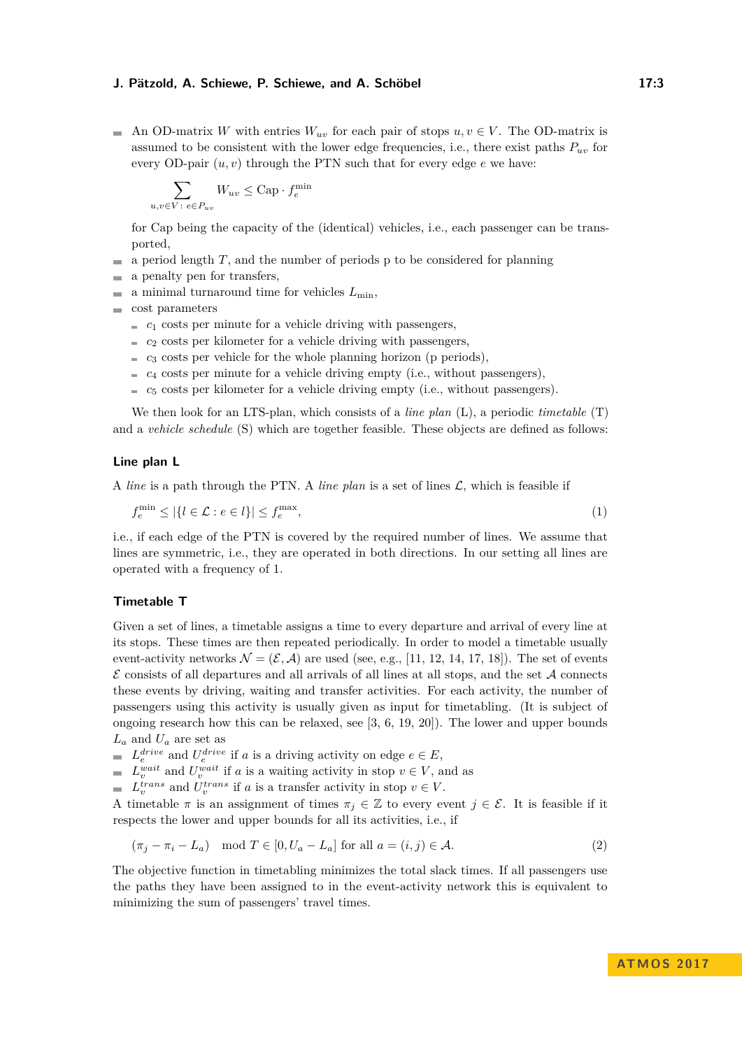An OD-matrix *W* with entries  $W_{uv}$  for each pair of stops  $u, v \in V$ . The OD-matrix is assumed to be consistent with the lower edge frequencies, i.e., there exist paths  $P_{uv}$  for every OD-pair  $(u, v)$  through the PTN such that for every edge  $e$  we have:

$$
\sum_{u,v \in V \colon e \in P_{uv}} W_{uv} \leq \text{Cap} \cdot f_e^{\min}
$$

for Cap being the capacity of the (identical) vehicles, i.e., each passenger can be transported,

- a period length *T*, and the number of periods p to be considered for planning m.
- a penalty pen for transfers,  $\rightarrow$
- a minimal turnaround time for vehicles  $L_{\text{min}}$ ,
- cost parameters
	- $c_1$  costs per minute for a vehicle driving with passengers,
	- $\epsilon$  *c*<sub>2</sub> costs per kilometer for a vehicle driving with passengers,
	- $\epsilon$  *c*<sub>3</sub> costs per vehicle for the whole planning horizon (p periods),
	- $c_4$  costs per minute for a vehicle driving empty (i.e., without passengers),
	- $c<sub>5</sub> \text{ costs per kilometer for a vehicle driving empty (i.e., without passengers).}$

We then look for an LTS-plan, which consists of a *line plan* (L), a periodic *timetable* (T) and a *vehicle schedule* (S) which are together feasible. These objects are defined as follows:

#### **Line plan L**

A *line* is a path through the PTN. A *line plan* is a set of lines L, which is feasible if

$$
f_e^{\min} \le |\{l \in \mathcal{L} : e \in l\}| \le f_e^{\max},\tag{1}
$$

i.e., if each edge of the PTN is covered by the required number of lines. We assume that lines are symmetric, i.e., they are operated in both directions. In our setting all lines are operated with a frequency of 1.

#### **Timetable T**

Given a set of lines, a timetable assigns a time to every departure and arrival of every line at its stops. These times are then repeated periodically. In order to model a timetable usually event-activity networks  $\mathcal{N} = (\mathcal{E}, \mathcal{A})$  are used (see, e.g., [\[11,](#page-12-3) [12,](#page-13-3) [14,](#page-13-4) [17,](#page-13-5) [18\]](#page-13-6)). The set of events  $\mathcal E$  consists of all departures and all arrivals of all lines at all stops, and the set  $\mathcal A$  connects these events by driving, waiting and transfer activities. For each activity, the number of passengers using this activity is usually given as input for timetabling. (It is subject of ongoing research how this can be relaxed, see [\[3,](#page-12-4) [6,](#page-12-5) [19,](#page-13-7) [20\]](#page-13-8)). The lower and upper bounds *L<sup>a</sup>* and *U<sup>a</sup>* are set as

 $L_e^{drive}$  and  $U_e^{drive}$  if *a* is a driving activity on edge  $e \in E$ ,

 $L_v^{wait}$  and  $U_v^{wait}$  if *a* is a waiting activity in stop  $v \in V$ , and as

 $L_v^{trans}$  and  $U_v^{trans}$  if *a* is a transfer activity in stop  $v \in V$ .

A timetable  $\pi$  is an assignment of times  $\pi_j \in \mathbb{Z}$  to every event  $j \in \mathcal{E}$ . It is feasible if it respects the lower and upper bounds for all its activities, i.e., if

$$
(\pi_j - \pi_i - L_a) \mod T \in [0, U_a - L_a] \text{ for all } a = (i, j) \in \mathcal{A}.
$$
 (2)

The objective function in timetabling minimizes the total slack times. If all passengers use the paths they have been assigned to in the event-activity network this is equivalent to minimizing the sum of passengers' travel times.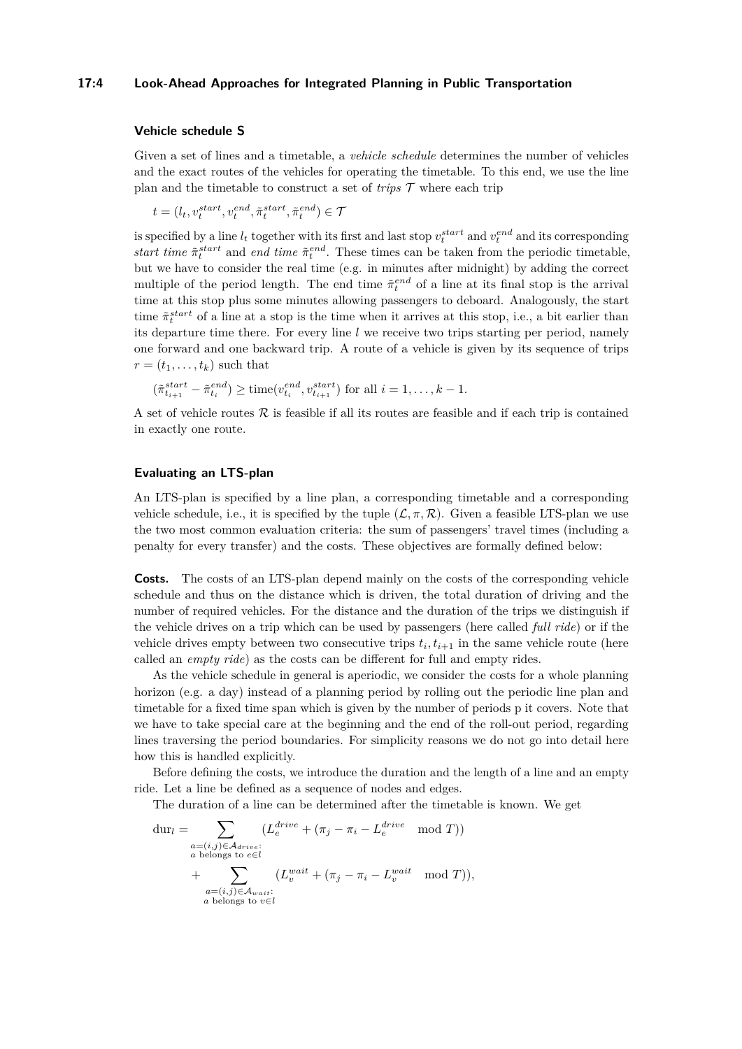#### **17:4 Look-Ahead Approaches for Integrated Planning in Public Transportation**

#### **Vehicle schedule S**

Given a set of lines and a timetable, a *vehicle schedule* determines the number of vehicles and the exact routes of the vehicles for operating the timetable. To this end, we use the line plan and the timetable to construct a set of *trips*  $\mathcal T$  where each trip

$$
t = (l_t, v_t^{start}, v_t^{end}, \tilde{\pi}_t^{start}, \tilde{\pi}_t^{end}) \in \mathcal{T}
$$

is specified by a line  $l_t$  together with its first and last stop  $v_t^{start}$  and  $v_t^{end}$  and its corresponding *start time*  $\tilde{\pi}_t^{start}$  and *end time*  $\tilde{\pi}_t^{end}$ . These times can be taken from the periodic timetable, but we have to consider the real time (e.g. in minutes after midnight) by adding the correct multiple of the period length. The end time  $\tilde{\pi}^{end}_{t}$  of a line at its final stop is the arrival time at this stop plus some minutes allowing passengers to deboard. Analogously, the start time  $\tilde{\pi}^{start}_{t}$  of a line at a stop is the time when it arrives at this stop, i.e., a bit earlier than its departure time there. For every line *l* we receive two trips starting per period, namely one forward and one backward trip. A route of a vehicle is given by its sequence of trips  $r = (t_1, \ldots, t_k)$  such that

$$
(\tilde{\pi}_{t_{i+1}}^{start} - \tilde{\pi}_{t_i}^{end}) \ge \text{time}(v_{t_i}^{end}, v_{t_{i+1}}^{start})
$$
 for all  $i = 1, ..., k - 1$ .

A set of vehicle routes  $\mathcal R$  is feasible if all its routes are feasible and if each trip is contained in exactly one route.

# **Evaluating an LTS-plan**

An LTS-plan is specified by a line plan, a corresponding timetable and a corresponding vehicle schedule, i.e., it is specified by the tuple  $(\mathcal{L}, \pi, \mathcal{R})$ . Given a feasible LTS-plan we use the two most common evaluation criteria: the sum of passengers' travel times (including a penalty for every transfer) and the costs. These objectives are formally defined below:

**Costs.** The costs of an LTS-plan depend mainly on the costs of the corresponding vehicle schedule and thus on the distance which is driven, the total duration of driving and the number of required vehicles. For the distance and the duration of the trips we distinguish if the vehicle drives on a trip which can be used by passengers (here called *full ride*) or if the vehicle drives empty between two consecutive trips  $t_i, t_{i+1}$  in the same vehicle route (here called an *empty ride*) as the costs can be different for full and empty rides.

As the vehicle schedule in general is aperiodic, we consider the costs for a whole planning horizon (e.g. a day) instead of a planning period by rolling out the periodic line plan and timetable for a fixed time span which is given by the number of periods p it covers. Note that we have to take special care at the beginning and the end of the roll-out period, regarding lines traversing the period boundaries. For simplicity reasons we do not go into detail here how this is handled explicitly.

Before defining the costs, we introduce the duration and the length of a line and an empty ride. Let a line be defined as a sequence of nodes and edges.

The duration of a line can be determined after the timetable is known. We get

$$
\begin{aligned}\n\text{dur}_l &= \sum_{\substack{a=(i,j)\in\mathcal{A}_{drive}:\\a \text{ belongs to } e\in l}} \left( L_e^{drive} + \left( \pi_j - \pi_i - L_e^{drive} \mod T \right) \right) \\
&\quad + \sum_{\substack{a=(i,j)\in\mathcal{A}_{wait}:\\a \text{ belongs to } v\in l}} \left( L_v^{wait} + \left( \pi_j - \pi_i - L_v^{wait} \mod T \right) \right),\n\end{aligned}
$$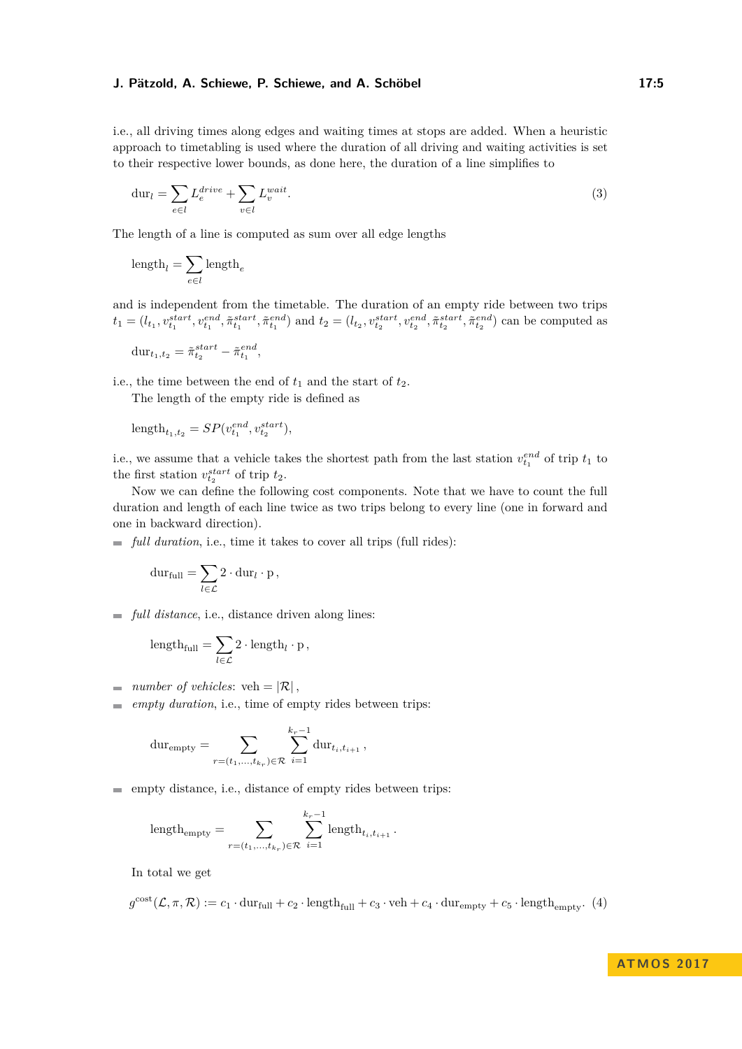i.e., all driving times along edges and waiting times at stops are added. When a heuristic approach to timetabling is used where the duration of all driving and waiting activities is set to their respective lower bounds, as done here, the duration of a line simplifies to

<span id="page-4-1"></span>
$$
\text{dur}_l = \sum_{e \in l} L_e^{drive} + \sum_{v \in l} L_v^{wait}.\tag{3}
$$

The length of a line is computed as sum over all edge lengths

$$
\text{length}_l = \sum_{e \in l} \text{length}_e
$$

and is independent from the timetable. The duration of an empty ride between two trips  $t_1=(l_{t_1}, v_{t_1}^{start}, v_{t_1}^{end}, \tilde{\pi}_{t_1}^{start}, \tilde{\pi}_{t_1}^{end})$  and  $t_2=(l_{t_2}, v_{t_2}^{start}, v_{t_2}^{end}, \tilde{\pi}_{t_2}^{start}, \tilde{\pi}_{t_2}^{end})$  can be computed as

$$
\mathrm{dur}_{t_1,t_2} = \tilde{\pi}^{start}_{t_2} - \tilde{\pi}^{end}_{t_1},
$$

i.e., the time between the end of  $t_1$  and the start of  $t_2$ .

The length of the empty ride is defined as

$$
\mathrm{length}_{t_1,t_2} = SP(v_{t_1}^{end},v_{t_2}^{start}),
$$

i.e., we assume that a vehicle takes the shortest path from the last station  $v_{t_1}^{end}$  of trip  $t_1$  to the first station  $v_{t_2}^{start}$  of trip  $t_2$ .

Now we can define the following cost components. Note that we have to count the full duration and length of each line twice as two trips belong to every line (one in forward and one in backward direction).

 $\blacksquare$  *full duration*, i.e., time it takes to cover all trips (full rides):

$$
\mathrm{dur}_{\text{full}} = \sum_{l \in \mathcal{L}} 2 \cdot \mathrm{dur}_{l} \cdot p,
$$

*full distance*, i.e., distance driven along lines:

$$
\text{length}_{\text{full}} = \sum_{l \in \mathcal{L}} 2 \cdot \text{length}_{l} \cdot p,
$$

- *number of vehicles*:  $veh = |\mathcal{R}|$ ,  $\blacksquare$
- *empty duration*, i.e., time of empty rides between trips:  $\overline{a}$

$$
dur_{empty} = \sum_{r=(t_1,\ldots,t_{k_r}) \in \mathcal{R}} \sum_{i=1}^{k_r-1} dur_{t_i,t_{i+1}},
$$

 $\equiv$  empty distance, i.e., distance of empty rides between trips:

<span id="page-4-0"></span>
$$
\label{eq:length} \text{length}_{\text{empty}} = \sum_{r = (t_1, \ldots, t_{k_r}) \in \mathcal{R}} \sum_{i=1}^{k_r-1} \text{length}_{t_i, t_{i+1}} \, .
$$

In total we get

$$
g^{\text{cost}}(\mathcal{L}, \pi, \mathcal{R}) := c_1 \cdot \text{dur}_{\text{full}} + c_2 \cdot \text{length}_{\text{full}} + c_3 \cdot \text{veh} + c_4 \cdot \text{dur}_{\text{empty}} + c_5 \cdot \text{length}_{\text{empty}}. (4)
$$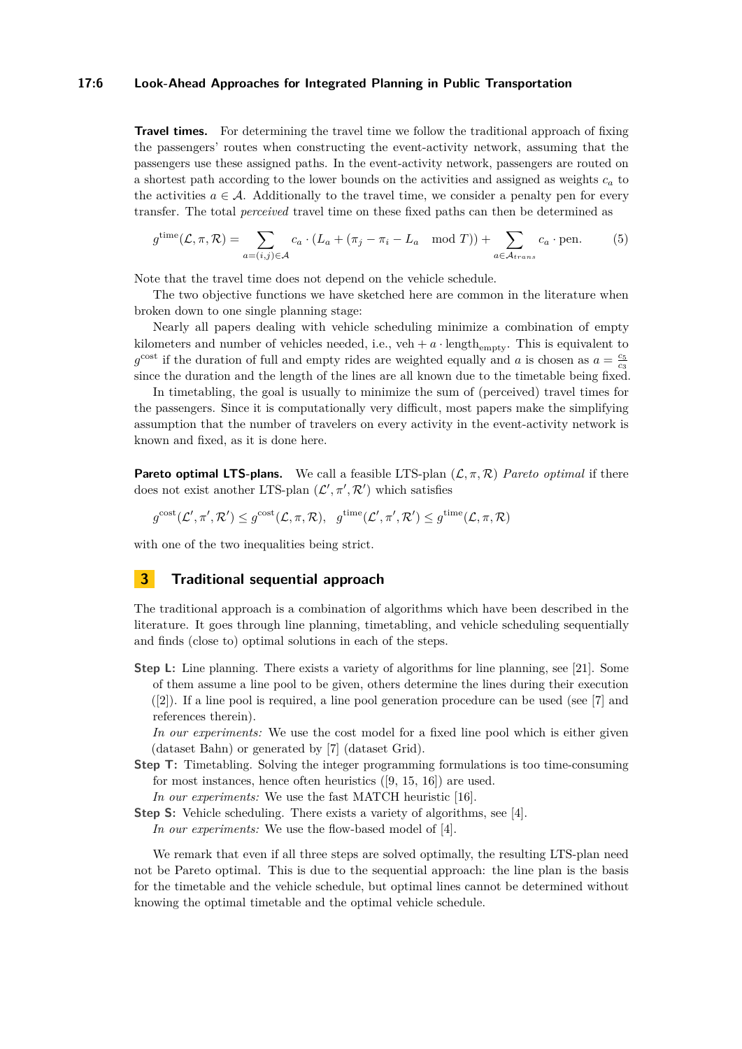#### **17:6 Look-Ahead Approaches for Integrated Planning in Public Transportation**

**Travel times.** For determining the travel time we follow the traditional approach of fixing the passengers' routes when constructing the event-activity network, assuming that the passengers use these assigned paths. In the event-activity network, passengers are routed on a shortest path according to the lower bounds on the activities and assigned as weights *c<sup>a</sup>* to the activities  $a \in \mathcal{A}$ . Additionally to the travel time, we consider a penalty pen for every transfer. The total *perceived* travel time on these fixed paths can then be determined as

<span id="page-5-0"></span>
$$
g^{\text{time}}(\mathcal{L}, \pi, \mathcal{R}) = \sum_{a=(i,j)\in\mathcal{A}} c_a \cdot (L_a + (\pi_j - \pi_i - L_a \mod T)) + \sum_{a\in\mathcal{A}_{trans}} c_a \cdot \text{pen.}
$$
 (5)

Note that the travel time does not depend on the vehicle schedule.

The two objective functions we have sketched here are common in the literature when broken down to one single planning stage:

Nearly all papers dealing with vehicle scheduling minimize a combination of empty kilometers and number of vehicles needed, i.e.,  $veh + a \cdot \text{length}_{\text{empty}}$ . This is equivalent to  $g^{\text{cost}}$  if the duration of full and empty rides are weighted equally and *a* is chosen as  $a = \frac{c_5}{c_3}$ since the duration and the length of the lines are all known due to the timetable being fixed.

In timetabling, the goal is usually to minimize the sum of (perceived) travel times for the passengers. Since it is computationally very difficult, most papers make the simplifying assumption that the number of travelers on every activity in the event-activity network is known and fixed, as it is done here.

**Pareto optimal LTS-plans.** We call a feasible LTS-plan  $(\mathcal{L}, \pi, \mathcal{R})$  *Pareto optimal* if there does not exist another LTS-plan  $(\mathcal{L}', \pi', \mathcal{R}')$  which satisfies

$$
g^{\text{cost}}(\mathcal{L}', \pi', \mathcal{R}') \leq g^{\text{cost}}(\mathcal{L}, \pi, \mathcal{R}), \ \ g^{\text{time}}(\mathcal{L}', \pi', \mathcal{R}') \leq g^{\text{time}}(\mathcal{L}, \pi, \mathcal{R})
$$

with one of the two inequalities being strict.

## **3 Traditional sequential approach**

The traditional approach is a combination of algorithms which have been described in the literature. It goes through line planning, timetabling, and vehicle scheduling sequentially and finds (close to) optimal solutions in each of the steps.

**Step L:** Line planning. There exists a variety of algorithms for line planning, see [\[21\]](#page-13-0). Some of them assume a line pool to be given, others determine the lines during their execution ([\[2\]](#page-12-6)). If a line pool is required, a line pool generation procedure can be used (see [\[7\]](#page-12-0) and references therein).

*In our experiments:* We use the cost model for a fixed line pool which is either given (dataset Bahn) or generated by [\[7\]](#page-12-0) (dataset Grid).

**Step T:** Timetabling. Solving the integer programming formulations is too time-consuming for most instances, hence often heuristics ([\[9,](#page-12-7) [15,](#page-13-9) [16\]](#page-13-10)) are used.

*In our experiments:* We use the fast MATCH heuristic [\[16\]](#page-13-10).

**Step S:** Vehicle scheduling. There exists a variety of algorithms, see [\[4\]](#page-12-2).

*In our experiments:* We use the flow-based model of [\[4\]](#page-12-2).

We remark that even if all three steps are solved optimally, the resulting LTS-plan need not be Pareto optimal. This is due to the sequential approach: the line plan is the basis for the timetable and the vehicle schedule, but optimal lines cannot be determined without knowing the optimal timetable and the optimal vehicle schedule.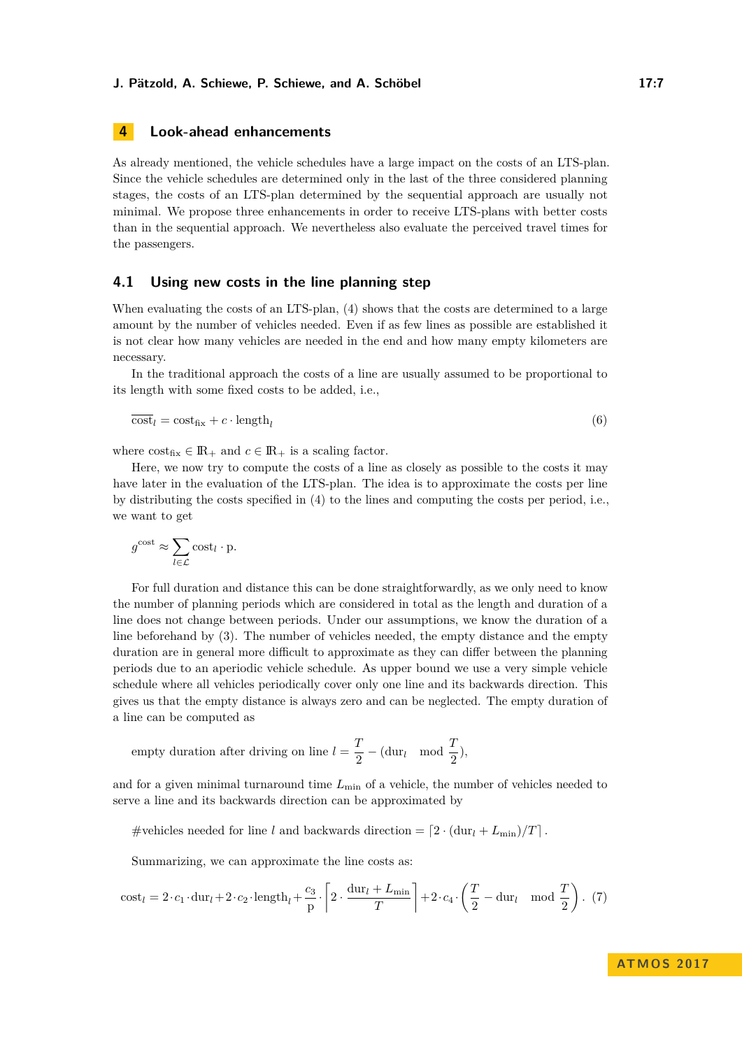# **4 Look-ahead enhancements**

As already mentioned, the vehicle schedules have a large impact on the costs of an LTS-plan. Since the vehicle schedules are determined only in the last of the three considered planning stages, the costs of an LTS-plan determined by the sequential approach are usually not minimal. We propose three enhancements in order to receive LTS-plans with better costs than in the sequential approach. We nevertheless also evaluate the perceived travel times for the passengers.

### <span id="page-6-1"></span>**4.1 Using new costs in the line planning step**

When evaluating the costs of an LTS-plan, [\(4\)](#page-4-0) shows that the costs are determined to a large amount by the number of vehicles needed. Even if as few lines as possible are established it is not clear how many vehicles are needed in the end and how many empty kilometers are necessary.

In the traditional approach the costs of a line are usually assumed to be proportional to its length with some fixed costs to be added, i.e.,

$$
\overline{\text{cost}}_l = \text{cost}_{\text{fix}} + c \cdot \text{length}_l \tag{6}
$$

where  $\text{cost}_{\text{fix}} \in \mathbb{R}_+$  and  $c \in \mathbb{R}_+$  is a scaling factor.

Here, we now try to compute the costs of a line as closely as possible to the costs it may have later in the evaluation of the LTS-plan. The idea is to approximate the costs per line by distributing the costs specified in [\(4\)](#page-4-0) to the lines and computing the costs per period, i.e., we want to get

$$
g^{\text{cost}} \approx \sum_{l \in \mathcal{L}} \text{cost}_{l} \cdot \text{p}.
$$

For full duration and distance this can be done straightforwardly, as we only need to know the number of planning periods which are considered in total as the length and duration of a line does not change between periods. Under our assumptions, we know the duration of a line beforehand by [\(3\)](#page-4-1). The number of vehicles needed, the empty distance and the empty duration are in general more difficult to approximate as they can differ between the planning periods due to an aperiodic vehicle schedule. As upper bound we use a very simple vehicle schedule where all vehicles periodically cover only one line and its backwards direction. This gives us that the empty distance is always zero and can be neglected. The empty duration of a line can be computed as

empty duration after driving on line 
$$
l = \frac{T}{2} - (\text{dur}_l \mod \frac{T}{2}),
$$

and for a given minimal turnaround time  $L_{\text{min}}$  of a vehicle, the number of vehicles needed to serve a line and its backwards direction can be approximated by

#vehicles needed for line *l* and backwards direction =  $[2 \cdot (\text{dur}_l + L_{\min})/T]$ .

<span id="page-6-0"></span>Summarizing, we can approximate the line costs as:

$$
\mathrm{cost}_{l}=2\cdot c_{1}\cdot\mathrm{dur}_{l}+2\cdot c_{2}\cdot\mathrm{length}_{l}+\frac{c_{3}}{\mathrm{p}}\cdot\left\lceil 2\cdot\frac{\mathrm{dur}_{l}+L_{\mathrm{min}}}{T}\right\rceil+2\cdot c_{4}\cdot\left(\frac{T}{2}-\mathrm{dur}_{l}\mod{\frac{T}{2}}\right).\ \ (7)
$$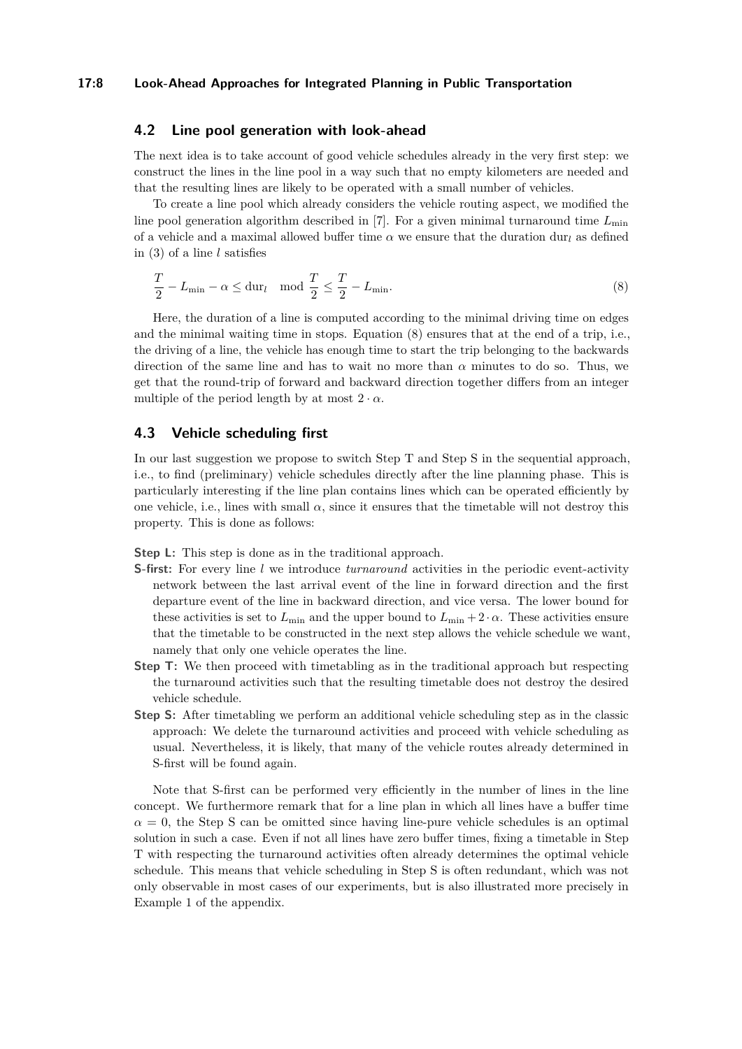#### **17:8 Look-Ahead Approaches for Integrated Planning in Public Transportation**

### <span id="page-7-1"></span>**4.2 Line pool generation with look-ahead**

The next idea is to take account of good vehicle schedules already in the very first step: we construct the lines in the line pool in a way such that no empty kilometers are needed and that the resulting lines are likely to be operated with a small number of vehicles.

To create a line pool which already considers the vehicle routing aspect, we modified the line pool generation algorithm described in [\[7\]](#page-12-0). For a given minimal turnaround time *L*min of a vehicle and a maximal allowed buffer time  $\alpha$  we ensure that the duration dur<sub>l</sub> as defined in [\(3\)](#page-4-1) of a line *l* satisfies

<span id="page-7-0"></span>
$$
\frac{T}{2} - L_{\min} - \alpha \le \text{dur}_l \quad \text{mod } \frac{T}{2} \le \frac{T}{2} - L_{\min}.\tag{8}
$$

Here, the duration of a line is computed according to the minimal driving time on edges and the minimal waiting time in stops. Equation [\(8\)](#page-7-0) ensures that at the end of a trip, i.e., the driving of a line, the vehicle has enough time to start the trip belonging to the backwards direction of the same line and has to wait no more than  $\alpha$  minutes to do so. Thus, we get that the round-trip of forward and backward direction together differs from an integer multiple of the period length by at most  $2 \cdot \alpha$ .

# <span id="page-7-2"></span>**4.3 Vehicle scheduling first**

In our last suggestion we propose to switch Step T and Step S in the sequential approach. i.e., to find (preliminary) vehicle schedules directly after the line planning phase. This is particularly interesting if the line plan contains lines which can be operated efficiently by one vehicle, i.e., lines with small  $\alpha$ , since it ensures that the timetable will not destroy this property. This is done as follows:

**Step L:** This step is done as in the traditional approach.

- **S-first:** For every line *l* we introduce *turnaround* activities in the periodic event-activity network between the last arrival event of the line in forward direction and the first departure event of the line in backward direction, and vice versa. The lower bound for these activities is set to  $L_{\text{min}}$  and the upper bound to  $L_{\text{min}} + 2 \cdot \alpha$ . These activities ensure that the timetable to be constructed in the next step allows the vehicle schedule we want, namely that only one vehicle operates the line.
- **Step T:** We then proceed with timetabling as in the traditional approach but respecting the turnaround activities such that the resulting timetable does not destroy the desired vehicle schedule.
- **Step S:** After timetabling we perform an additional vehicle scheduling step as in the classic approach: We delete the turnaround activities and proceed with vehicle scheduling as usual. Nevertheless, it is likely, that many of the vehicle routes already determined in S-first will be found again.

Note that S-first can be performed very efficiently in the number of lines in the line concept. We furthermore remark that for a line plan in which all lines have a buffer time  $\alpha = 0$ , the Step S can be omitted since having line-pure vehicle schedules is an optimal solution in such a case. Even if not all lines have zero buffer times, fixing a timetable in Step T with respecting the turnaround activities often already determines the optimal vehicle schedule. This means that vehicle scheduling in Step S is often redundant, which was not only observable in most cases of our experiments, but is also illustrated more precisely in Example [1](#page-13-11) of the appendix.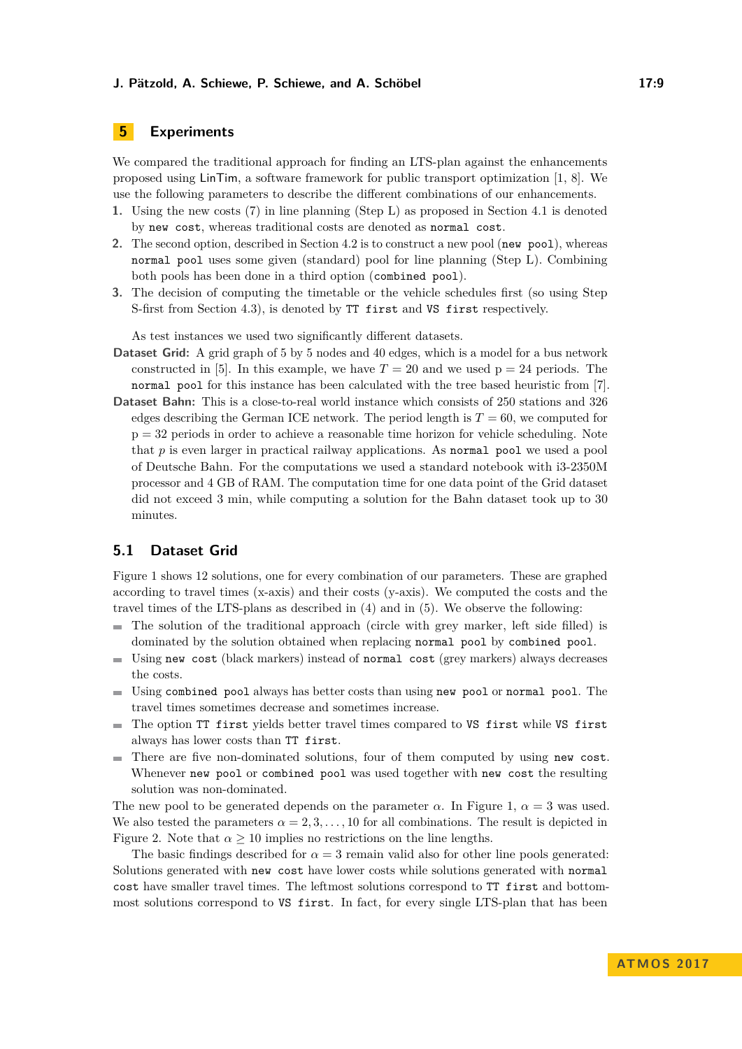# **5 Experiments**

We compared the traditional approach for finding an LTS-plan against the enhancements proposed using LinTim, a software framework for public transport optimization [\[1,](#page-12-8) [8\]](#page-12-9). We use the following parameters to describe the different combinations of our enhancements.

- **1.** Using the new costs [\(7\)](#page-6-0) in line planning (Step L) as proposed in Section [4.1](#page-6-1) is denoted by new cost, whereas traditional costs are denoted as normal cost.
- **2.** The second option, described in Section [4.2](#page-7-1) is to construct a new pool (new pool), whereas normal pool uses some given (standard) pool for line planning (Step L). Combining both pools has been done in a third option (combined pool).
- **3.** The decision of computing the timetable or the vehicle schedules first (so using Step S-first from Section [4.3\)](#page-7-2), is denoted by TT first and VS first respectively.

As test instances we used two significantly different datasets.

- **Dataset Grid:** A grid graph of 5 by 5 nodes and 40 edges, which is a model for a bus network constructed in [\[5\]](#page-12-10). In this example, we have  $T = 20$  and we used  $p = 24$  periods. The normal pool for this instance has been calculated with the tree based heuristic from [\[7\]](#page-12-0).
- **Dataset Bahn:** This is a close-to-real world instance which consists of 250 stations and 326 edges describing the German ICE network. The period length is  $T = 60$ , we computed for  $p = 32$  periods in order to achieve a reasonable time horizon for vehicle scheduling. Note that *p* is even larger in practical railway applications. As normal pool we used a pool of Deutsche Bahn. For the computations we used a standard notebook with i3-2350M processor and 4 GB of RAM. The computation time for one data point of the Grid dataset did not exceed 3 min, while computing a solution for the Bahn dataset took up to 30 minutes.

# **5.1 Dataset Grid**

Figure [1](#page-9-0) shows 12 solutions, one for every combination of our parameters. These are graphed according to travel times (x-axis) and their costs (y-axis). We computed the costs and the travel times of the LTS-plans as described in [\(4\)](#page-4-0) and in [\(5\)](#page-5-0). We observe the following:

- The solution of the traditional approach (circle with grey marker, left side filled) is  $\rightarrow$ dominated by the solution obtained when replacing normal pool by combined pool.
- Using new cost (black markers) instead of normal cost (grey markers) always decreases m. the costs.
- $\blacksquare$  Using combined pool always has better costs than using new pool or normal pool. The travel times sometimes decrease and sometimes increase.
- The option TT first yields better travel times compared to VS first while VS first always has lower costs than TT first.
- There are five non-dominated solutions, four of them computed by using new cost.  $\mathbf{r}$ Whenever new pool or combined pool was used together with new cost the resulting solution was non-dominated.

The new pool to be generated depends on the parameter  $\alpha$ . In Figure [1,](#page-9-0)  $\alpha = 3$  was used. We also tested the parameters  $\alpha = 2, 3, \ldots, 10$  for all combinations. The result is depicted in Figure [2.](#page-9-1) Note that  $\alpha \geq 10$  implies no restrictions on the line lengths.

The basic findings described for  $\alpha = 3$  remain valid also for other line pools generated: Solutions generated with new cost have lower costs while solutions generated with normal cost have smaller travel times. The leftmost solutions correspond to TT first and bottommost solutions correspond to VS first. In fact, for every single LTS-plan that has been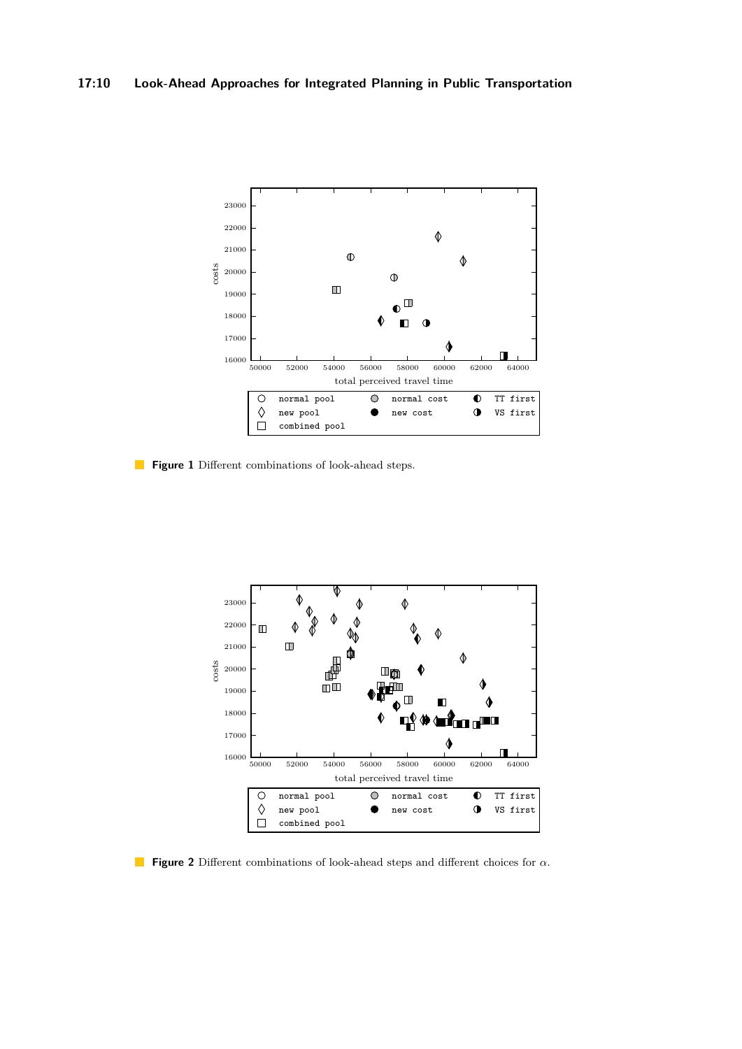<span id="page-9-0"></span>

**Figure 1** Different combinations of look-ahead steps.

<span id="page-9-1"></span>

**Figure 2** Different combinations of look-ahead steps and different choices for *α*.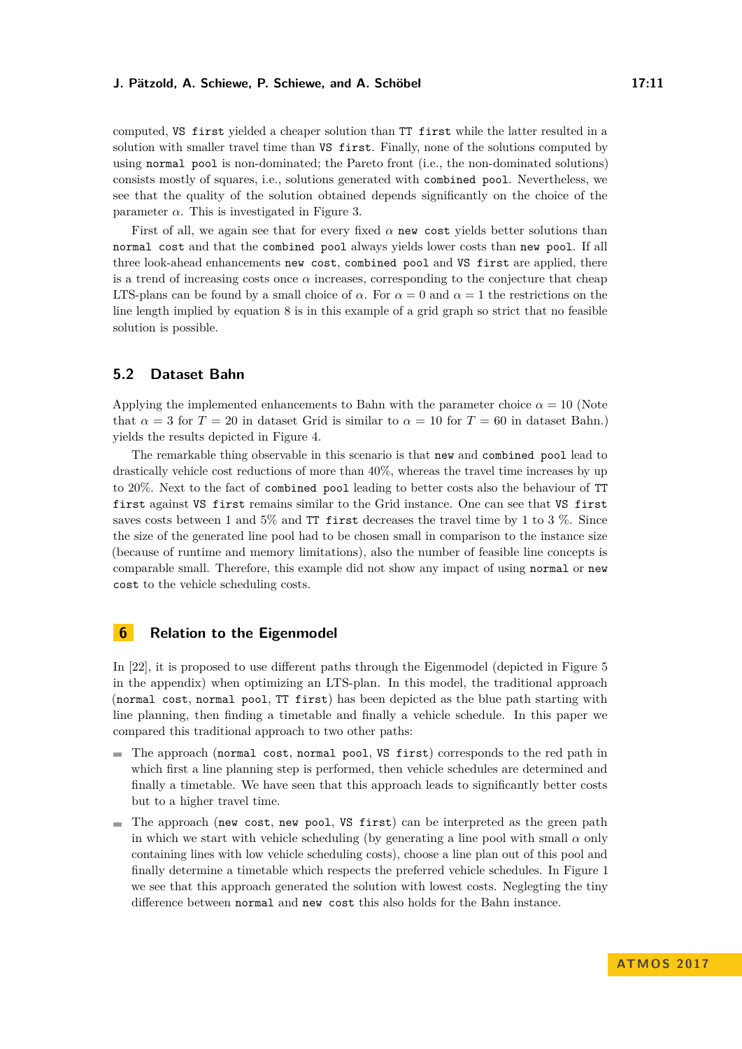computed, VS first yielded a cheaper solution than TT first while the latter resulted in a solution with smaller travel time than VS first. Finally, none of the solutions computed by using normal pool is non-dominated; the Pareto front (i.e., the non-dominated solutions) consists mostly of squares, i.e., solutions generated with combined pool. Nevertheless, we see that the quality of the solution obtained depends significantly on the choice of the parameter  $\alpha$ . This is investigated in Figure [3.](#page-11-0)

First of all, we again see that for every fixed  $\alpha$  new cost yields better solutions than normal cost and that the combined pool always yields lower costs than new pool. If all three look-ahead enhancements new cost, combined pool and VS first are applied, there is a trend of increasing costs once  $\alpha$  increases, corresponding to the conjecture that cheap LTS-plans can be found by a small choice of  $\alpha$ . For  $\alpha = 0$  and  $\alpha = 1$  the restrictions on the line length implied by equation [8](#page-7-0) is in this example of a grid graph so strict that no feasible solution is possible.

# **5.2 Dataset Bahn**

Applying the implemented enhancements to Bahn with the parameter choice  $\alpha = 10$  (Note that  $\alpha = 3$  for  $T = 20$  in dataset Grid is similar to  $\alpha = 10$  for  $T = 60$  in dataset Bahn.) yields the results depicted in Figure [4.](#page-11-1)

The remarkable thing observable in this scenario is that new and combined pool lead to drastically vehicle cost reductions of more than 40%, whereas the travel time increases by up to 20%. Next to the fact of combined pool leading to better costs also the behaviour of TT first against VS first remains similar to the Grid instance. One can see that VS first saves costs between 1 and 5% and TT first decreases the travel time by 1 to 3%. Since the size of the generated line pool had to be chosen small in comparison to the instance size (because of runtime and memory limitations), also the number of feasible line concepts is comparable small. Therefore, this example did not show any impact of using normal or new cost to the vehicle scheduling costs.

# **6 Relation to the Eigenmodel**

In [\[22\]](#page-13-2), it is proposed to use different paths through the Eigenmodel (depicted in Figure [5](#page-14-0) in the appendix) when optimizing an LTS-plan. In this model, the traditional approach (normal cost, normal pool, TT first) has been depicted as the blue path starting with line planning, then finding a timetable and finally a vehicle schedule. In this paper we compared this traditional approach to two other paths:

- The approach (normal cost, normal pool, VS first) corresponds to the red path in which first a line planning step is performed, then vehicle schedules are determined and finally a timetable. We have seen that this approach leads to significantly better costs but to a higher travel time.
- The approach (new cost, new pool, VS first) can be interpreted as the green path in which we start with vehicle scheduling (by generating a line pool with small  $\alpha$  only containing lines with low vehicle scheduling costs), choose a line plan out of this pool and finally determine a timetable which respects the preferred vehicle schedules. In Figure [1](#page-9-0) we see that this approach generated the solution with lowest costs. Neglegting the tiny difference between normal and new cost this also holds for the Bahn instance.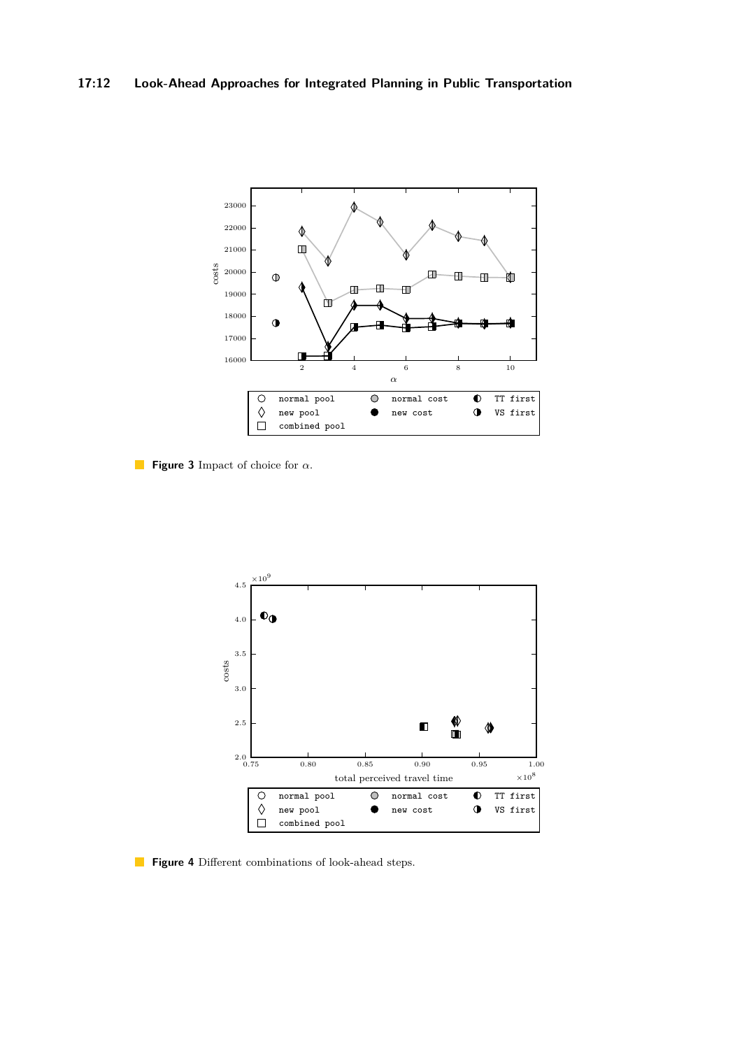<span id="page-11-0"></span>

**Figure 3** Impact of choice for *α*.

<span id="page-11-1"></span>

**Figure 4** Different combinations of look-ahead steps.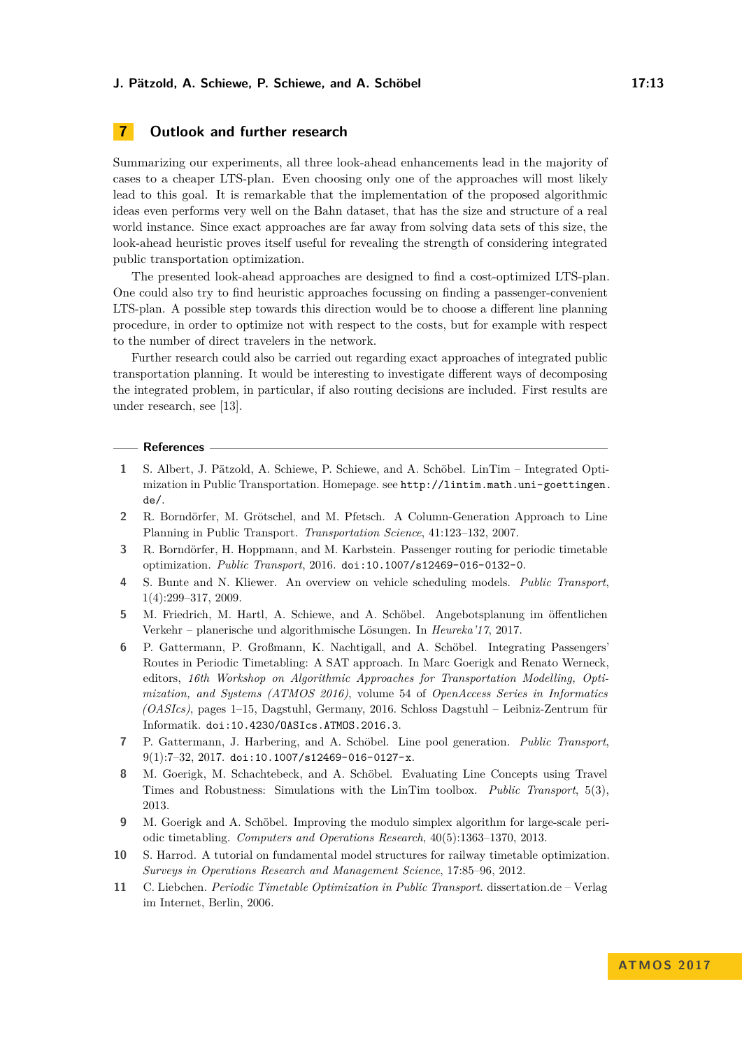# **7 Outlook and further research**

Summarizing our experiments, all three look-ahead enhancements lead in the majority of cases to a cheaper LTS-plan. Even choosing only one of the approaches will most likely lead to this goal. It is remarkable that the implementation of the proposed algorithmic ideas even performs very well on the Bahn dataset, that has the size and structure of a real world instance. Since exact approaches are far away from solving data sets of this size, the look-ahead heuristic proves itself useful for revealing the strength of considering integrated public transportation optimization.

The presented look-ahead approaches are designed to find a cost-optimized LTS-plan. One could also try to find heuristic approaches focussing on finding a passenger-convenient LTS-plan. A possible step towards this direction would be to choose a different line planning procedure, in order to optimize not with respect to the costs, but for example with respect to the number of direct travelers in the network.

Further research could also be carried out regarding exact approaches of integrated public transportation planning. It would be interesting to investigate different ways of decomposing the integrated problem, in particular, if also routing decisions are included. First results are under research, see [\[13\]](#page-13-12).

#### **References**

- <span id="page-12-8"></span>**1** S. Albert, J. Pätzold, A. Schiewe, P. Schiewe, and A. Schöbel. LinTim – Integrated Optimization in Public Transportation. Homepage. see [http://lintim.math.uni-goettingen.](http://lintim.math.uni-goettingen.de/) [de/](http://lintim.math.uni-goettingen.de/).
- <span id="page-12-6"></span>**2** R. Borndörfer, M. Grötschel, and M. Pfetsch. A Column-Generation Approach to Line Planning in Public Transport. *Transportation Science*, 41:123–132, 2007.
- <span id="page-12-4"></span>**3** R. Borndörfer, H. Hoppmann, and M. Karbstein. Passenger routing for periodic timetable optimization. *Public Transport*, 2016. [doi:10.1007/s12469-016-0132-0](http://dx.doi.org/10.1007/s12469-016-0132-0).
- <span id="page-12-2"></span>**4** S. Bunte and N. Kliewer. An overview on vehicle scheduling models. *Public Transport*, 1(4):299–317, 2009.
- <span id="page-12-10"></span>**5** M. Friedrich, M. Hartl, A. Schiewe, and A. Schöbel. Angebotsplanung im öffentlichen Verkehr – planerische und algorithmische Lösungen. In *Heureka'17*, 2017.
- <span id="page-12-5"></span>**6** P. Gattermann, P. Großmann, K. Nachtigall, and A. Schöbel. Integrating Passengers' Routes in Periodic Timetabling: A SAT approach. In Marc Goerigk and Renato Werneck, editors, *16th Workshop on Algorithmic Approaches for Transportation Modelling, Optimization, and Systems (ATMOS 2016)*, volume 54 of *OpenAccess Series in Informatics (OASIcs)*, pages 1–15, Dagstuhl, Germany, 2016. Schloss Dagstuhl – Leibniz-Zentrum für Informatik. [doi:10.4230/OASIcs.ATMOS.2016.3](http://dx.doi.org/10.4230/OASIcs.ATMOS.2016.3).
- <span id="page-12-0"></span>**7** P. Gattermann, J. Harbering, and A. Schöbel. Line pool generation. *Public Transport*,  $9(1):7-32, 2017.$  [doi:10.1007/s12469-016-0127-x](http://dx.doi.org/10.1007/s12469-016-0127-x).
- <span id="page-12-9"></span>**8** M. Goerigk, M. Schachtebeck, and A. Schöbel. Evaluating Line Concepts using Travel Times and Robustness: Simulations with the LinTim toolbox. *Public Transport*, 5(3), 2013.
- <span id="page-12-7"></span>**9** M. Goerigk and A. Schöbel. Improving the modulo simplex algorithm for large-scale periodic timetabling. *Computers and Operations Research*, 40(5):1363–1370, 2013.
- <span id="page-12-1"></span>**10** S. Harrod. A tutorial on fundamental model structures for railway timetable optimization. *Surveys in Operations Research and Management Science*, 17:85–96, 2012.
- <span id="page-12-3"></span>**11** C. Liebchen. *Periodic Timetable Optimization in Public Transport*. dissertation.de – Verlag im Internet, Berlin, 2006.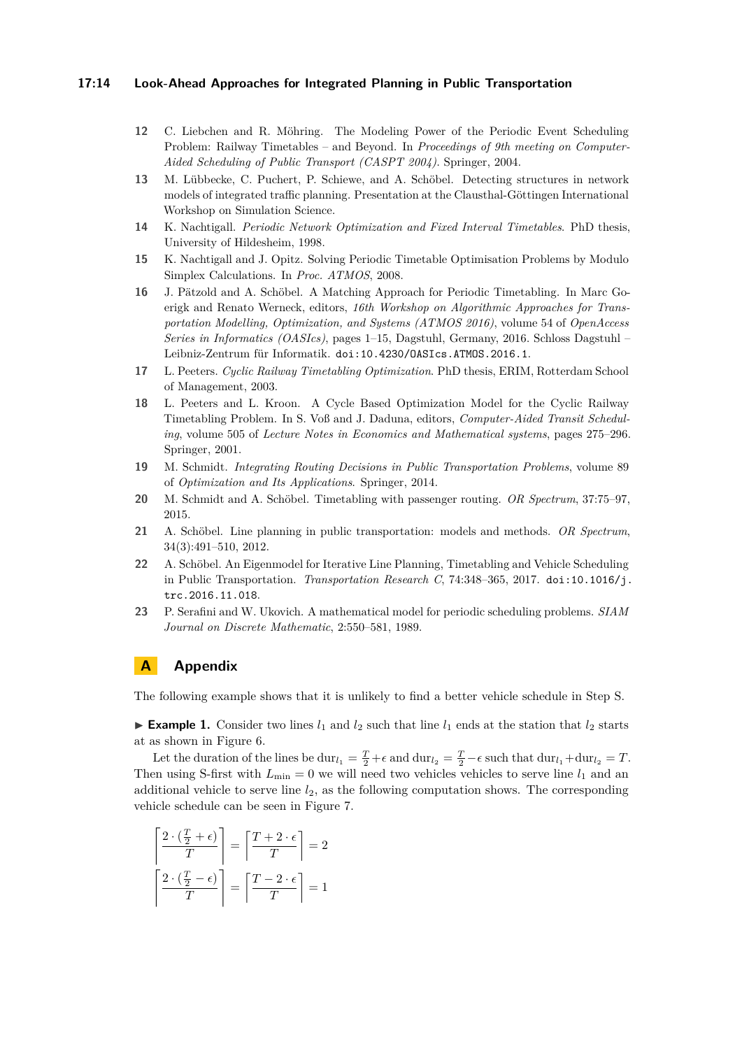#### **17:14 Look-Ahead Approaches for Integrated Planning in Public Transportation**

- <span id="page-13-3"></span>**12** C. Liebchen and R. Möhring. The Modeling Power of the Periodic Event Scheduling Problem: Railway Timetables – and Beyond. In *Proceedings of 9th meeting on Computer-Aided Scheduling of Public Transport (CASPT 2004)*. Springer, 2004.
- <span id="page-13-12"></span>**13** M. Lübbecke, C. Puchert, P. Schiewe, and A. Schöbel. Detecting structures in network models of integrated traffic planning. Presentation at the Clausthal-Göttingen International Workshop on Simulation Science.
- <span id="page-13-4"></span>**14** K. Nachtigall. *Periodic Network Optimization and Fixed Interval Timetables*. PhD thesis, University of Hildesheim, 1998.
- <span id="page-13-9"></span>**15** K. Nachtigall and J. Opitz. Solving Periodic Timetable Optimisation Problems by Modulo Simplex Calculations. In *Proc. ATMOS*, 2008.
- <span id="page-13-10"></span>**16** J. Pätzold and A. Schöbel. A Matching Approach for Periodic Timetabling. In Marc Goerigk and Renato Werneck, editors, *16th Workshop on Algorithmic Approaches for Transportation Modelling, Optimization, and Systems (ATMOS 2016)*, volume 54 of *OpenAccess Series in Informatics (OASIcs)*, pages 1–15, Dagstuhl, Germany, 2016. Schloss Dagstuhl – Leibniz-Zentrum für Informatik. [doi:10.4230/OASIcs.ATMOS.2016.1](http://dx.doi.org/10.4230/OASIcs.ATMOS.2016.1).
- <span id="page-13-5"></span>**17** L. Peeters. *Cyclic Railway Timetabling Optimization*. PhD thesis, ERIM, Rotterdam School of Management, 2003.
- <span id="page-13-6"></span>**18** L. Peeters and L. Kroon. A Cycle Based Optimization Model for the Cyclic Railway Timetabling Problem. In S. Voß and J. Daduna, editors, *Computer-Aided Transit Scheduling*, volume 505 of *Lecture Notes in Economics and Mathematical systems*, pages 275–296. Springer, 2001.
- <span id="page-13-7"></span>**19** M. Schmidt. *Integrating Routing Decisions in Public Transportation Problems*, volume 89 of *Optimization and Its Applications*. Springer, 2014.
- <span id="page-13-8"></span>**20** M. Schmidt and A. Schöbel. Timetabling with passenger routing. *OR Spectrum*, 37:75–97, 2015.
- <span id="page-13-0"></span>**21** A. Schöbel. Line planning in public transportation: models and methods. *OR Spectrum*, 34(3):491–510, 2012.
- <span id="page-13-2"></span>**22** A. Schöbel. An Eigenmodel for Iterative Line Planning, Timetabling and Vehicle Scheduling in Public Transportation. *Transportation Research C*, 74:348–365, 2017. [doi:10.1016/j.](http://dx.doi.org/10.1016/j.trc.2016.11.018) [trc.2016.11.018](http://dx.doi.org/10.1016/j.trc.2016.11.018).
- <span id="page-13-1"></span>**23** P. Serafini and W. Ukovich. A mathematical model for periodic scheduling problems. *SIAM Journal on Discrete Mathematic*, 2:550–581, 1989.

# **A Appendix**

The following example shows that it is unlikely to find a better vehicle schedule in Step S.

<span id="page-13-11"></span>**Example 1.** Consider two lines  $l_1$  and  $l_2$  such that line  $l_1$  ends at the station that  $l_2$  starts at as shown in Figure [6.](#page-14-1)

Let the duration of the lines be  $dur_{l_1} = \frac{T}{2} + \epsilon$  and  $dur_{l_2} = \frac{T}{2} - \epsilon$  such that  $dur_{l_1} + dur_{l_2} = T$ . Then using S-first with  $L_{\text{min}} = 0$  we will need two vehicles vehicles to serve line  $l_1$  and an additional vehicle to serve line *l*2, as the following computation shows. The corresponding vehicle schedule can be seen in Figure [7.](#page-14-2)

$$
\left\lceil \frac{2 \cdot (\frac{T}{2} + \epsilon)}{T} \right\rceil = \left\lceil \frac{T + 2 \cdot \epsilon}{T} \right\rceil = 2
$$

$$
\left\lceil \frac{2 \cdot (\frac{T}{2} - \epsilon)}{T} \right\rceil = \left\lceil \frac{T - 2 \cdot \epsilon}{T} \right\rceil = 1
$$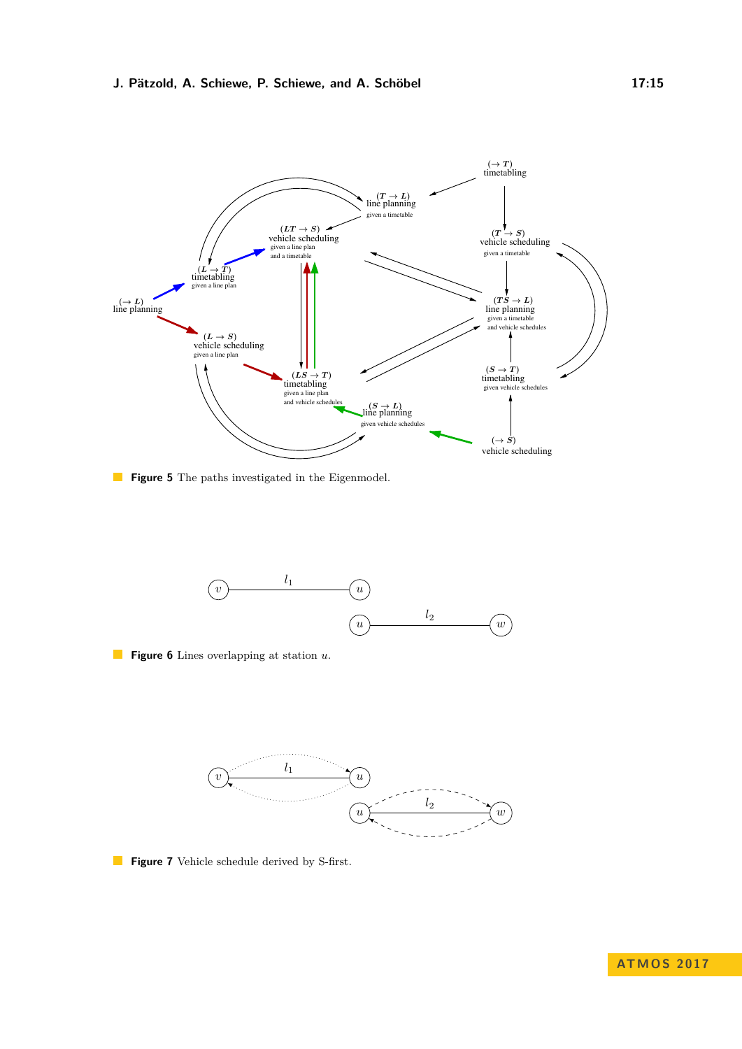<span id="page-14-0"></span>

**Figure 5** The paths investigated in the Eigenmodel.

<span id="page-14-1"></span>

**Figure 6** Lines overlapping at station *u*.

<span id="page-14-2"></span>

**Figure 7** Vehicle schedule derived by S-first.